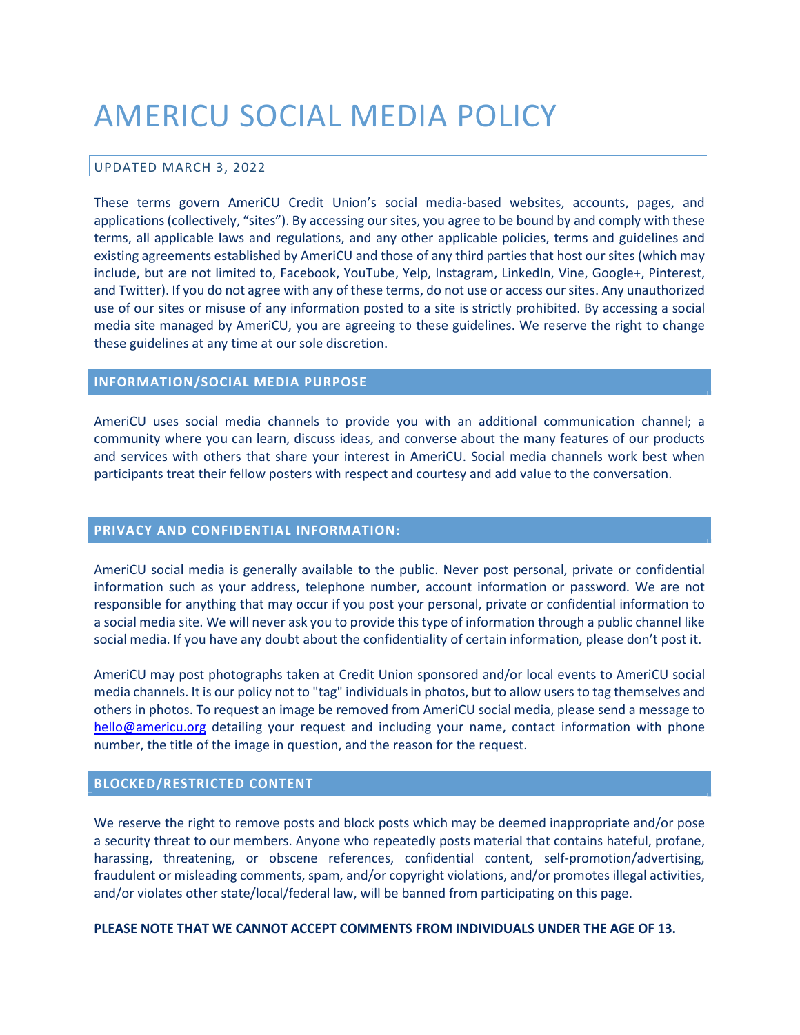# AMERICU SOCIAL MEDIA POLICY

## UPDATED MARCH 3, 2022

These terms govern AmeriCU Credit Union's social media-based websites, accounts, pages, and applications (collectively, "sites"). By accessing our sites, you agree to be bound by and comply with these terms, all applicable laws and regulations, and any other applicable policies, terms and guidelines and existing agreements established by AmeriCU and those of any third parties that host our sites (which may include, but are not limited to, Facebook, YouTube, Yelp, Instagram, LinkedIn, Vine, Google+, Pinterest, and Twitter). If you do not agree with any of these terms, do not use or access our sites. Any unauthorized use of our sites or misuse of any information posted to a site is strictly prohibited. By accessing a social media site managed by AmeriCU, you are agreeing to these guidelines. We reserve the right to change these guidelines at any time at our sole discretion.

## INFORMATION/SOCIAL MEDIA PURPOSE

AmeriCU uses social media channels to provide you with an additional communication channel; a community where you can learn, discuss ideas, and converse about the many features of our products and services with others that share your interest in AmeriCU. Social media channels work best when participants treat their fellow posters with respect and courtesy and add value to the conversation.

#### PRIVACY AND CONFIDENTIAL INFORMATION:

AmeriCU social media is generally available to the public. Never post personal, private or confidential information such as your address, telephone number, account information or password. We are not responsible for anything that may occur if you post your personal, private or confidential information to a social media site. We will never ask you to provide this type of information through a public channel like social media. If you have any doubt about the confidentiality of certain information, please don't post it.

AmeriCU may post photographs taken at Credit Union sponsored and/or local events to AmeriCU social media channels. It is our policy not to "tag" individuals in photos, but to allow users to tag themselves and others in photos. To request an image be removed from AmeriCU social media, please send a message to hello@americu.org detailing your request and including your name, contact information with phone number, the title of the image in question, and the reason for the request.

#### BLOCKED/RESTRICTED CONTENT

We reserve the right to remove posts and block posts which may be deemed inappropriate and/or pose a security threat to our members. Anyone who repeatedly posts material that contains hateful, profane, harassing, threatening, or obscene references, confidential content, self-promotion/advertising, fraudulent or misleading comments, spam, and/or copyright violations, and/or promotes illegal activities, and/or violates other state/local/federal law, will be banned from participating on this page.

PLEASE NOTE THAT WE CANNOT ACCEPT COMMENTS FROM INDIVIDUALS UNDER THE AGE OF 13.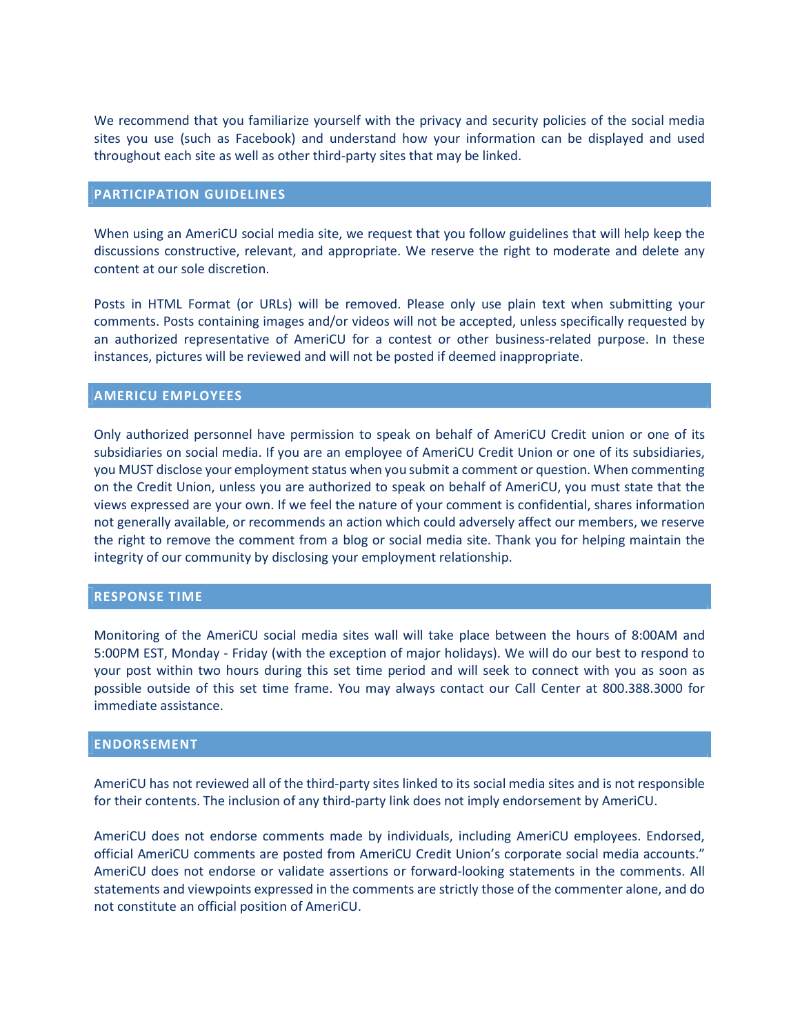We recommend that you familiarize yourself with the privacy and security policies of the social media sites you use (such as Facebook) and understand how your information can be displayed and used throughout each site as well as other third-party sites that may be linked.

### PARTICIPATION GUIDELINES

When using an AmeriCU social media site, we request that you follow guidelines that will help keep the discussions constructive, relevant, and appropriate. We reserve the right to moderate and delete any content at our sole discretion.

Posts in HTML Format (or URLs) will be removed. Please only use plain text when submitting your comments. Posts containing images and/or videos will not be accepted, unless specifically requested by an authorized representative of AmeriCU for a contest or other business-related purpose. In these instances, pictures will be reviewed and will not be posted if deemed inappropriate.

### AMERICU EMPLOYEES

Only authorized personnel have permission to speak on behalf of AmeriCU Credit union or one of its subsidiaries on social media. If you are an employee of AmeriCU Credit Union or one of its subsidiaries, you MUST disclose your employment status when you submit a comment or question. When commenting on the Credit Union, unless you are authorized to speak on behalf of AmeriCU, you must state that the views expressed are your own. If we feel the nature of your comment is confidential, shares information not generally available, or recommends an action which could adversely affect our members, we reserve the right to remove the comment from a blog or social media site. Thank you for helping maintain the integrity of our community by disclosing your employment relationship.

#### RESPONSE TIME

Monitoring of the AmeriCU social media sites wall will take place between the hours of 8:00AM and 5:00PM EST, Monday - Friday (with the exception of major holidays). We will do our best to respond to your post within two hours during this set time period and will seek to connect with you as soon as possible outside of this set time frame. You may always contact our Call Center at 800.388.3000 for immediate assistance.

#### ENDORSEMENT

AmeriCU has not reviewed all of the third-party sites linked to its social media sites and is not responsible for their contents. The inclusion of any third-party link does not imply endorsement by AmeriCU.

AmeriCU does not endorse comments made by individuals, including AmeriCU employees. Endorsed, official AmeriCU comments are posted from AmeriCU Credit Union's corporate social media accounts." AmeriCU does not endorse or validate assertions or forward-looking statements in the comments. All statements and viewpoints expressed in the comments are strictly those of the commenter alone, and do not constitute an official position of AmeriCU.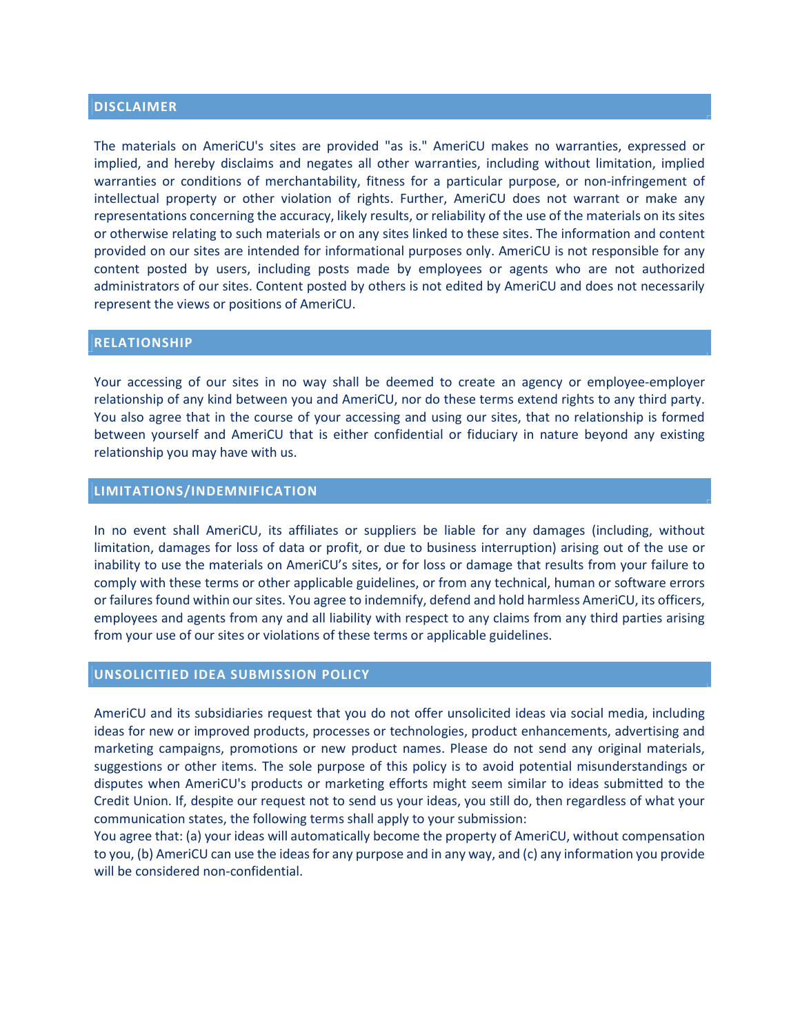## DISCLAIMER

The materials on AmeriCU's sites are provided "as is." AmeriCU makes no warranties, expressed or implied, and hereby disclaims and negates all other warranties, including without limitation, implied warranties or conditions of merchantability, fitness for a particular purpose, or non-infringement of intellectual property or other violation of rights. Further, AmeriCU does not warrant or make any representations concerning the accuracy, likely results, or reliability of the use of the materials on its sites or otherwise relating to such materials or on any sites linked to these sites. The information and content provided on our sites are intended for informational purposes only. AmeriCU is not responsible for any content posted by users, including posts made by employees or agents who are not authorized administrators of our sites. Content posted by others is not edited by AmeriCU and does not necessarily represent the views or positions of AmeriCU.

#### RELATIONSHIP

Your accessing of our sites in no way shall be deemed to create an agency or employee-employer relationship of any kind between you and AmeriCU, nor do these terms extend rights to any third party. You also agree that in the course of your accessing and using our sites, that no relationship is formed between yourself and AmeriCU that is either confidential or fiduciary in nature beyond any existing relationship you may have with us.

## LIMITATIONS/INDEMNIFICATION

In no event shall AmeriCU, its affiliates or suppliers be liable for any damages (including, without limitation, damages for loss of data or profit, or due to business interruption) arising out of the use or inability to use the materials on AmeriCU's sites, or for loss or damage that results from your failure to comply with these terms or other applicable guidelines, or from any technical, human or software errors or failures found within our sites. You agree to indemnify, defend and hold harmless AmeriCU, its officers, employees and agents from any and all liability with respect to any claims from any third parties arising from your use of our sites or violations of these terms or applicable guidelines.

#### UNSOLICITIED IDEA SUBMISSION POLICY

AmeriCU and its subsidiaries request that you do not offer unsolicited ideas via social media, including ideas for new or improved products, processes or technologies, product enhancements, advertising and marketing campaigns, promotions or new product names. Please do not send any original materials, suggestions or other items. The sole purpose of this policy is to avoid potential misunderstandings or disputes when AmeriCU's products or marketing efforts might seem similar to ideas submitted to the Credit Union. If, despite our request not to send us your ideas, you still do, then regardless of what your communication states, the following terms shall apply to your submission:

You agree that: (a) your ideas will automatically become the property of AmeriCU, without compensation to you, (b) AmeriCU can use the ideas for any purpose and in any way, and (c) any information you provide will be considered non-confidential.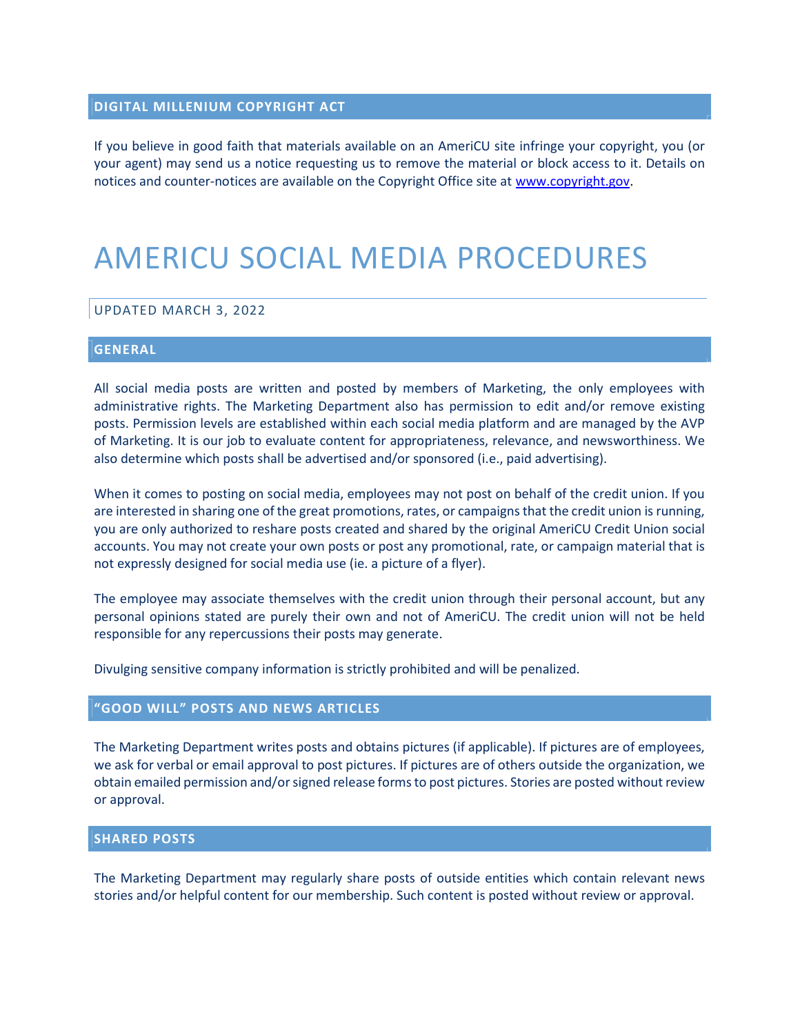## DIGITAL MILLENIUM COPYRIGHT ACT

If you believe in good faith that materials available on an AmeriCU site infringe your copyright, you (or your agent) may send us a notice requesting us to remove the material or block access to it. Details on notices and counter-notices are available on the Copyright Office site at www.copyright.gov.

## AMERICU SOCIAL MEDIA PROCEDURES

#### UPDATED MARCH 3, 2022

#### GENERAL

All social media posts are written and posted by members of Marketing, the only employees with administrative rights. The Marketing Department also has permission to edit and/or remove existing posts. Permission levels are established within each social media platform and are managed by the AVP of Marketing. It is our job to evaluate content for appropriateness, relevance, and newsworthiness. We also determine which posts shall be advertised and/or sponsored (i.e., paid advertising).

When it comes to posting on social media, employees may not post on behalf of the credit union. If you are interested in sharing one of the great promotions, rates, or campaigns that the credit union is running, you are only authorized to reshare posts created and shared by the original AmeriCU Credit Union social accounts. You may not create your own posts or post any promotional, rate, or campaign material that is not expressly designed for social media use (ie. a picture of a flyer).

The employee may associate themselves with the credit union through their personal account, but any personal opinions stated are purely their own and not of AmeriCU. The credit union will not be held responsible for any repercussions their posts may generate.

Divulging sensitive company information is strictly prohibited and will be penalized.

## "GOOD WILL" POSTS AND NEWS ARTICLES

The Marketing Department writes posts and obtains pictures (if applicable). If pictures are of employees, we ask for verbal or email approval to post pictures. If pictures are of others outside the organization, we obtain emailed permission and/or signed release forms to post pictures. Stories are posted without review or approval.

#### SHARED POSTS

The Marketing Department may regularly share posts of outside entities which contain relevant news stories and/or helpful content for our membership. Such content is posted without review or approval.